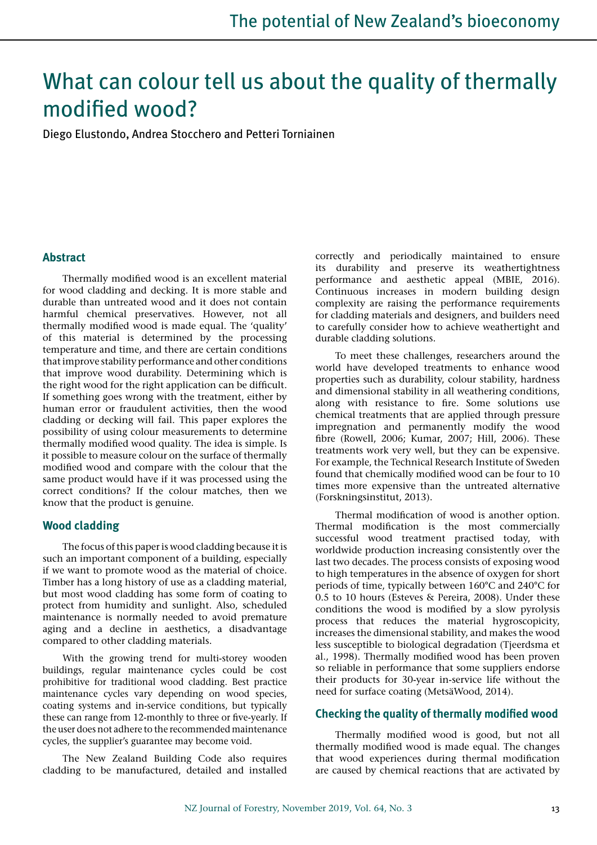# What can colour tell us about the quality of thermally modified wood?

Diego Elustondo, Andrea Stocchero and Petteri Torniainen

## **Abstract**

Thermally modified wood is an excellent material for wood cladding and decking. It is more stable and durable than untreated wood and it does not contain harmful chemical preservatives. However, not all thermally modified wood is made equal. The 'quality' of this material is determined by the processing temperature and time, and there are certain conditions that improve stability performance and other conditions that improve wood durability. Determining which is the right wood for the right application can be difficult. If something goes wrong with the treatment, either by human error or fraudulent activities, then the wood cladding or decking will fail. This paper explores the possibility of using colour measurements to determine thermally modified wood quality. The idea is simple. Is it possible to measure colour on the surface of thermally modified wood and compare with the colour that the same product would have if it was processed using the correct conditions? If the colour matches, then we know that the product is genuine.

# **Wood cladding**

The focus of this paper is wood cladding because it is such an important component of a building, especially if we want to promote wood as the material of choice. Timber has a long history of use as a cladding material, but most wood cladding has some form of coating to protect from humidity and sunlight. Also, scheduled maintenance is normally needed to avoid premature aging and a decline in aesthetics, a disadvantage compared to other cladding materials.

With the growing trend for multi-storey wooden buildings, regular maintenance cycles could be cost prohibitive for traditional wood cladding. Best practice maintenance cycles vary depending on wood species, coating systems and in-service conditions, but typically these can range from 12-monthly to three or five-yearly. If the user does not adhere to the recommended maintenance cycles, the supplier's guarantee may become void.

The New Zealand Building Code also requires cladding to be manufactured, detailed and installed correctly and periodically maintained to ensure its durability and preserve its weathertightness performance and aesthetic appeal (MBIE, 2016). Continuous increases in modern building design complexity are raising the performance requirements for cladding materials and designers, and builders need to carefully consider how to achieve weathertight and durable cladding solutions.

To meet these challenges, researchers around the world have developed treatments to enhance wood properties such as durability, colour stability, hardness and dimensional stability in all weathering conditions, along with resistance to fire. Some solutions use chemical treatments that are applied through pressure impregnation and permanently modify the wood fibre (Rowell, 2006; Kumar, 2007; Hill, 2006). These treatments work very well, but they can be expensive. For example, the Technical Research Institute of Sweden found that chemically modified wood can be four to 10 times more expensive than the untreated alternative (Forskningsinstitut, 2013).

Thermal modification of wood is another option. Thermal modification is the most commercially successful wood treatment practised today, with worldwide production increasing consistently over the last two decades. The process consists of exposing wood to high temperatures in the absence of oxygen for short periods of time, typically between 160°C and 240°C for 0.5 to 10 hours (Esteves & Pereira, 2008). Under these conditions the wood is modified by a slow pyrolysis process that reduces the material hygroscopicity, increases the dimensional stability, and makes the wood less susceptible to biological degradation (Tjeerdsma et al., 1998). Thermally modified wood has been proven so reliable in performance that some suppliers endorse their products for 30-year in-service life without the need for surface coating (MetsäWood, 2014).

## **Checking the quality of thermally modified wood**

Thermally modified wood is good, but not all thermally modified wood is made equal. The changes that wood experiences during thermal modification are caused by chemical reactions that are activated by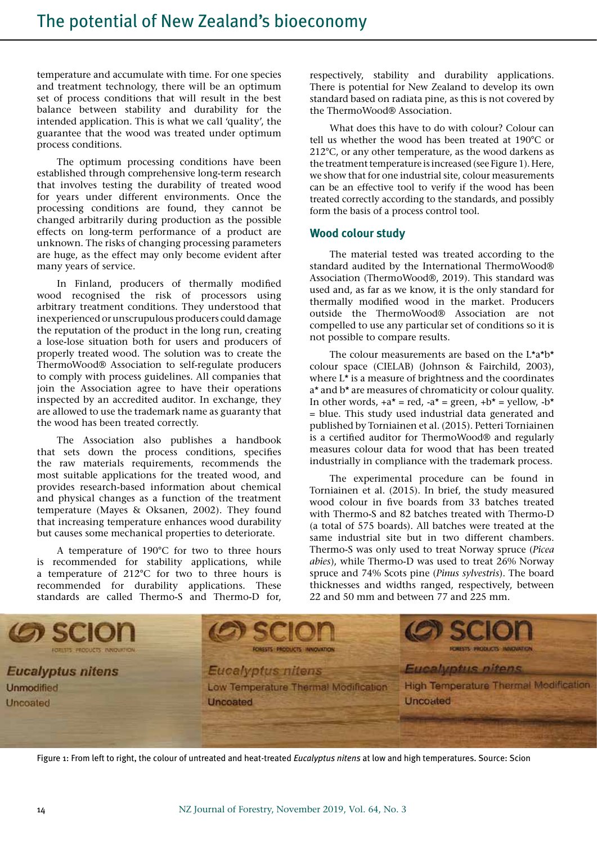temperature and accumulate with time. For one species and treatment technology, there will be an optimum set of process conditions that will result in the best balance between stability and durability for the intended application. This is what we call 'quality', the guarantee that the wood was treated under optimum process conditions.

The optimum processing conditions have been established through comprehensive long-term research that involves testing the durability of treated wood for years under different environments. Once the processing conditions are found, they cannot be changed arbitrarily during production as the possible effects on long-term performance of a product are unknown. The risks of changing processing parameters are huge, as the effect may only become evident after many years of service.

In Finland, producers of thermally modified wood recognised the risk of processors using arbitrary treatment conditions. They understood that inexperienced or unscrupulous producers could damage the reputation of the product in the long run, creating a lose-lose situation both for users and producers of properly treated wood. The solution was to create the ThermoWood® Association to self-regulate producers to comply with process guidelines. All companies that join the Association agree to have their operations inspected by an accredited auditor. In exchange, they are allowed to use the trademark name as guaranty that the wood has been treated correctly.

The Association also publishes a handbook that sets down the process conditions, specifies the raw materials requirements, recommends the most suitable applications for the treated wood, and provides research-based information about chemical and physical changes as a function of the treatment temperature (Mayes & Oksanen, 2002). They found that increasing temperature enhances wood durability but causes some mechanical properties to deteriorate.

A temperature of 190°C for two to three hours is recommended for stability applications, while a temperature of 212°C for two to three hours is recommended for durability applications. These standards are called Thermo-S and Thermo-D for,

respectively, stability and durability applications. There is potential for New Zealand to develop its own standard based on radiata pine, as this is not covered by the ThermoWood® Association.

What does this have to do with colour? Colour can tell us whether the wood has been treated at 190°C or 212°C, or any other temperature, as the wood darkens as the treatment temperature is increased (see Figure 1). Here, we show that for one industrial site, colour measurements can be an effective tool to verify if the wood has been treated correctly according to the standards, and possibly form the basis of a process control tool.

## **Wood colour study**

The material tested was treated according to the standard audited by the International ThermoWood® Association (ThermoWood®, 2019). This standard was used and, as far as we know, it is the only standard for thermally modified wood in the market. Producers outside the ThermoWood® Association are not compelled to use any particular set of conditions so it is not possible to compare results.

The colour measurements are based on the L\*a\*b\* colour space (CIELAB) (Johnson & Fairchild, 2003), where L\* is a measure of brightness and the coordinates a\* and b\* are measures of chromaticity or colour quality. In other words,  $+a^* = red$ ,  $-a^* = green$ ,  $+b^* = yellow$ ,  $-b^*$ = blue. This study used industrial data generated and published by Torniainen et al. (2015). Petteri Torniainen is a certified auditor for ThermoWood® and regularly measures colour data for wood that has been treated industrially in compliance with the trademark process.

The experimental procedure can be found in Torniainen et al. (2015). In brief, the study measured wood colour in five boards from 33 batches treated with Thermo-S and 82 batches treated with Thermo-D (a total of 575 boards). All batches were treated at the same industrial site but in two different chambers. Thermo-S was only used to treat Norway spruce (*Picea abies*), while Thermo-D was used to treat 26% Norway spruce and 74% Scots pine (*Pinus sylvestris*). The board thicknesses and widths ranged, respectively, between 22 and 50 mm and between 77 and 225 mm.



Figure 1: From left to right, the colour of untreated and heat-treated *Eucalyptus nitens* at low and high temperatures. Source: Scion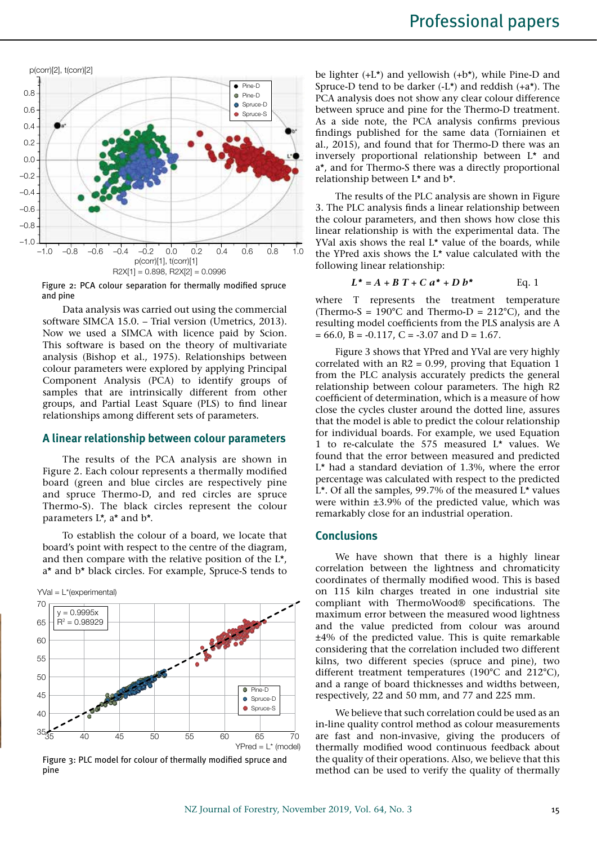

Figure 2: PCA colour separation for thermally modified spruce and pine

Data analysis was carried out using the commercial software SIMCA 15.0. – Trial version (Umetrics, 2013). Now we used a SIMCA with licence paid by Scion. This software is based on the theory of multivariate analysis (Bishop et al., 1975). Relationships between colour parameters were explored by applying Principal Component Analysis (PCA) to identify groups of samples that are intrinsically different from other groups, and Partial Least Square (PLS) to find linear relationships among different sets of parameters.

#### **A linear relationship between colour parameters**

The results of the PCA analysis are shown in Figure 2. Each colour represents a thermally modified board (green and blue circles are respectively pine and spruce Thermo-D, and red circles are spruce Thermo-S). The black circles represent the colour parameters L\*, a\* and b\*.

To establish the colour of a board, we locate that board's point with respect to the centre of the diagram, and then compare with the relative position of the L\*, a\* and b\* black circles. For example, Spruce-S tends to



Figure 3: PLC model for colour of thermally modified spruce and pine

be lighter (+L\*) and yellowish (+b\*), while Pine-D and Spruce-D tend to be darker  $(-L^*)$  and reddish  $(+a^*)$ . The PCA analysis does not show any clear colour difference between spruce and pine for the Thermo-D treatment. As a side note, the PCA analysis confirms previous findings published for the same data (Torniainen et al., 2015), and found that for Thermo-D there was an inversely proportional relationship between L\* and a\*, and for Thermo-S there was a directly proportional relationship between L\* and b\*.

The results of the PLC analysis are shown in Figure 3. The PLC analysis finds a linear relationship between the colour parameters, and then shows how close this linear relationship is with the experimental data. The YVal axis shows the real L<sup>\*</sup> value of the boards, while the YPred axis shows the L\* value calculated with the following linear relationship:

$$
L^* = A + B T + C a^* + D b^* \qquad \text{Eq. 1}
$$

where T represents the treatment temperature (Thermo-S =  $190^{\circ}$ C and Thermo-D =  $212^{\circ}$ C), and the resulting model coefficients from the PLS analysis are A  $= 66.0, B = -0.117, C = -3.07$  and  $D = 1.67$ .

Figure 3 shows that YPred and YVal are very highly correlated with an  $R2 = 0.99$ , proving that Equation 1 from the PLC analysis accurately predicts the general relationship between colour parameters. The high R2 coefficient of determination, which is a measure of how close the cycles cluster around the dotted line, assures that the model is able to predict the colour relationship for individual boards. For example, we used Equation 1 to re-calculate the 575 measured L\* values. We found that the error between measured and predicted L\* had a standard deviation of 1.3%, where the error percentage was calculated with respect to the predicted L\*. Of all the samples, 99.7% of the measured L\* values were within ±3.9% of the predicted value, which was remarkably close for an industrial operation.

#### **Conclusions**

We have shown that there is a highly linear correlation between the lightness and chromaticity coordinates of thermally modified wood. This is based on 115 kiln charges treated in one industrial site compliant with ThermoWood® specifications. The maximum error between the measured wood lightness and the value predicted from colour was around ±4% of the predicted value. This is quite remarkable considering that the correlation included two different kilns, two different species (spruce and pine), two different treatment temperatures (190°C and 212°C), and a range of board thicknesses and widths between, respectively, 22 and 50 mm, and 77 and 225 mm.

We believe that such correlation could be used as an in-line quality control method as colour measurements are fast and non-invasive, giving the producers of thermally modified wood continuous feedback about the quality of their operations. Also, we believe that this method can be used to verify the quality of thermally